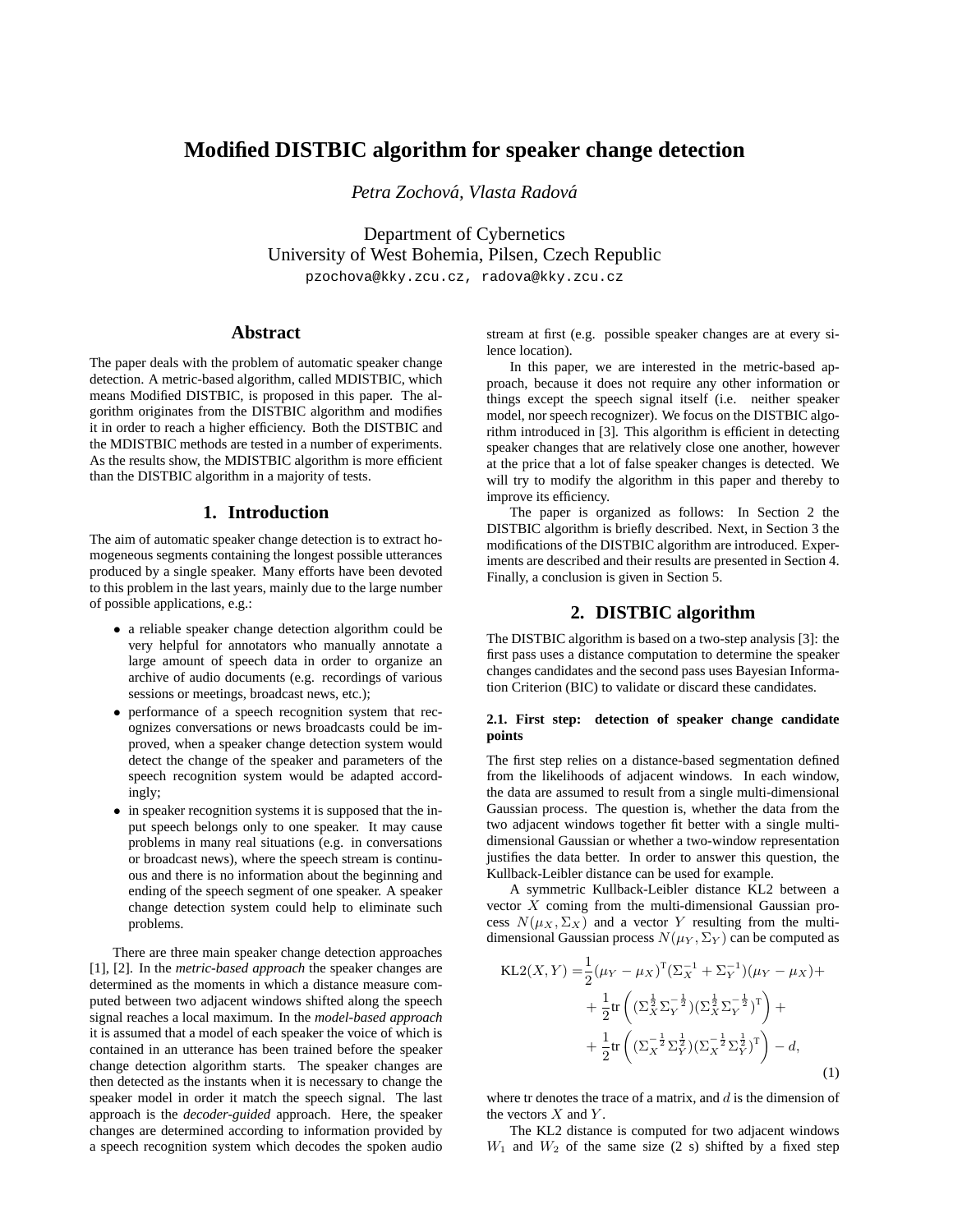# **Modified DISTBIC algorithm for speaker change detection**

*Petra Zochova, Vlasta Radov ´ a´*

Department of Cybernetics University of West Bohemia, Pilsen, Czech Republic

pzochova@kky.zcu.cz, radova@kky.zcu.cz

# **Abstract**

The paper deals with the problem of automatic speaker change detection. A metric-based algorithm, called MDISTBIC, which means Modified DISTBIC, is proposed in this paper. The algorithm originates from the DISTBIC algorithm and modifies it in order to reach a higher efficiency. Both the DISTBIC and the MDISTBIC methods are tested in a number of experiments. As the results show, the MDISTBIC algorithm is more efficient than the DISTBIC algorithm in a majority of tests.

## **1. Introduction**

The aim of automatic speaker change detection is to extract homogeneous segments containing the longest possible utterances produced by a single speaker. Many efforts have been devoted to this problem in the last years, mainly due to the large number of possible applications, e.g.:

- a reliable speaker change detection algorithm could be very helpful for annotators who manually annotate a large amount of speech data in order to organize an archive of audio documents (e.g. recordings of various sessions or meetings, broadcast news, etc.);
- performance of a speech recognition system that recognizes conversations or news broadcasts could be improved, when a speaker change detection system would detect the change of the speaker and parameters of the speech recognition system would be adapted accordingly;
- in speaker recognition systems it is supposed that the input speech belongs only to one speaker. It may cause problems in many real situations (e.g. in conversations or broadcast news), where the speech stream is continuous and there is no information about the beginning and ending of the speech segment of one speaker. A speaker change detection system could help to eliminate such problems.

There are three main speaker change detection approaches [1], [2]. In the *metric-based approach* the speaker changes are determined as the moments in which a distance measure computed between two adjacent windows shifted along the speech signal reaches a local maximum. In the *model-based approach* it is assumed that a model of each speaker the voice of which is contained in an utterance has been trained before the speaker change detection algorithm starts. The speaker changes are then detected as the instants when it is necessary to change the speaker model in order it match the speech signal. The last approach is the *decoder-guided* approach. Here, the speaker changes are determined according to information provided by a speech recognition system which decodes the spoken audio stream at first (e.g. possible speaker changes are at every silence location).

In this paper, we are interested in the metric-based approach, because it does not require any other information or things except the speech signal itself (i.e. neither speaker model, nor speech recognizer). We focus on the DISTBIC algorithm introduced in [3]. This algorithm is efficient in detecting speaker changes that are relatively close one another, however at the price that a lot of false speaker changes is detected. We will try to modify the algorithm in this paper and thereby to improve its efficiency.

The paper is organized as follows: In Section 2 the DISTBIC algorithm is briefly described. Next, in Section 3 the modifications of the DISTBIC algorithm are introduced. Experiments are described and their results are presented in Section 4. Finally, a conclusion is given in Section 5.

#### **2. DISTBIC algorithm**

The DISTBIC algorithm is based on a two-step analysis [3]: the first pass uses a distance computation to determine the speaker changes candidates and the second pass uses Bayesian Information Criterion (BIC) to validate or discard these candidates.

#### **2.1. First step: detection of speaker change candidate points**

The first step relies on a distance-based segmentation defined from the likelihoods of adjacent windows. In each window, the data are assumed to result from a single multi-dimensional Gaussian process. The question is, whether the data from the two adjacent windows together fit better with a single multidimensional Gaussian or whether a two-window representation justifies the data better. In order to answer this question, the Kullback-Leibler distance can be used for example.

A symmetric Kullback-Leibler distance KL2 between a vector  $X$  coming from the multi-dimensional Gaussian process  $N(\mu_X, \Sigma_X)$  and a vector Y resulting from the multidimensional Gaussian process  $N(\mu_Y, \Sigma_Y)$  can be computed as

$$
KL2(X, Y) = \frac{1}{2} (\mu_Y - \mu_X)^T (\Sigma_X^{-1} + \Sigma_Y^{-1}) (\mu_Y - \mu_X) +
$$
  
+ 
$$
\frac{1}{2} tr \left( (\Sigma_X^{\frac{1}{2}} \Sigma_Y^{-\frac{1}{2}}) (\Sigma_X^{\frac{1}{2}} \Sigma_Y^{-\frac{1}{2}})^T \right) +
$$
  
+ 
$$
\frac{1}{2} tr \left( (\Sigma_X^{-\frac{1}{2}} \Sigma_Y^{\frac{1}{2}}) (\Sigma_X^{-\frac{1}{2}} \Sigma_Y^{\frac{1}{2}})^T \right) - d,
$$
 (1)

where tr denotes the trace of a matrix, and  $d$  is the dimension of the vectors  $X$  and  $Y$ .

The KL2 distance is computed for two adjacent windows  $W_1$  and  $W_2$  of the same size (2 s) shifted by a fixed step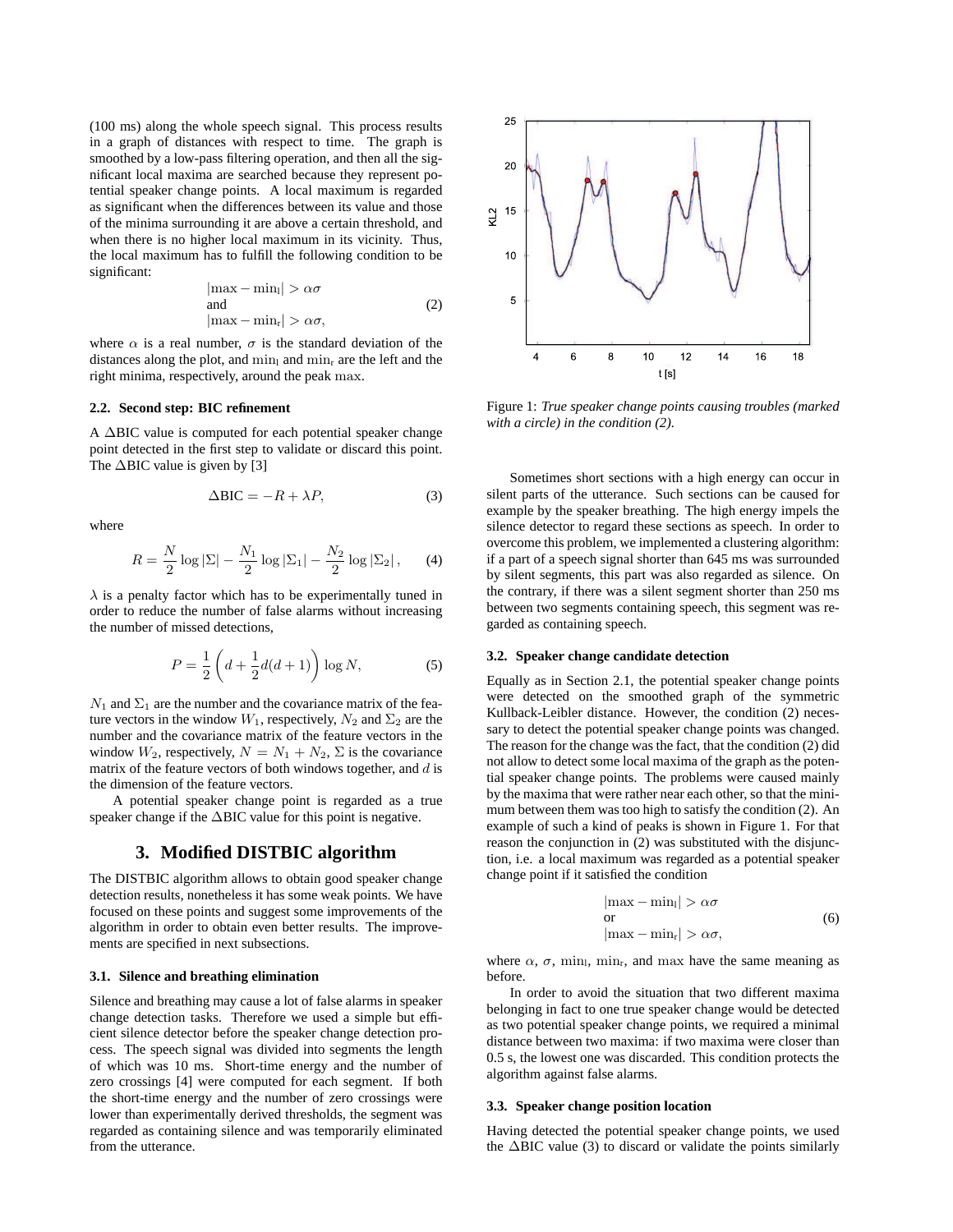(100 ms) along the whole speech signal. This process results in a graph of distances with respect to time. The graph is smoothed by a low-pass filtering operation, and then all the significant local maxima are searched because they represent potential speaker change points. A local maximum is regarded as significant when the differences between its value and those of the minima surrounding it are above a certain threshold, and when there is no higher local maximum in its vicinity. Thus, the local maximum has to fulfill the following condition to be significant:

$$
|\max - \min_{l}| > \alpha \sigma
$$
  
and  

$$
|\max - \min_{l}| > \alpha \sigma,
$$
 (2)

where  $\alpha$  is a real number,  $\sigma$  is the standard deviation of the distances along the plot, and  $\min_l$  and  $\min_r$  are the left and the right minima, respectively, around the peak max.

#### **2.2. Second step: BIC refinement**

A ∆BIC value is computed for each potential speaker change point detected in the first step to validate or discard this point. The ∆BIC value is given by [3]

$$
\Delta \text{BIC} = -R + \lambda P,\tag{3}
$$

where

$$
R = \frac{N}{2} \log |\Sigma| - \frac{N_1}{2} \log |\Sigma_1| - \frac{N_2}{2} \log |\Sigma_2|, \qquad (4)
$$

 $\lambda$  is a penalty factor which has to be experimentally tuned in order to reduce the number of false alarms without increasing the number of missed detections,

$$
P = \frac{1}{2} \left( d + \frac{1}{2} d(d+1) \right) \log N,
$$
 (5)

 $N_1$  and  $\Sigma_1$  are the number and the covariance matrix of the feature vectors in the window  $W_1$ , respectively,  $N_2$  and  $\Sigma_2$  are the number and the covariance matrix of the feature vectors in the window  $W_2$ , respectively,  $N = N_1 + N_2$ ,  $\Sigma$  is the covariance matrix of the feature vectors of both windows together, and  $d$  is the dimension of the feature vectors.

A potential speaker change point is regarded as a true speaker change if the ∆BIC value for this point is negative.

## **3. Modified DISTBIC algorithm**

The DISTBIC algorithm allows to obtain good speaker change detection results, nonetheless it has some weak points. We have focused on these points and suggest some improvements of the algorithm in order to obtain even better results. The improvements are specified in next subsections.

#### **3.1. Silence and breathing elimination**

Silence and breathing may cause a lot of false alarms in speaker change detection tasks. Therefore we used a simple but efficient silence detector before the speaker change detection process. The speech signal was divided into segments the length of which was 10 ms. Short-time energy and the number of zero crossings [4] were computed for each segment. If both the short-time energy and the number of zero crossings were lower than experimentally derived thresholds, the segment was regarded as containing silence and was temporarily eliminated from the utterance.



Figure 1: *True speaker change points causing troubles (marked with a circle) in the condition (2).*

Sometimes short sections with a high energy can occur in silent parts of the utterance. Such sections can be caused for example by the speaker breathing. The high energy impels the silence detector to regard these sections as speech. In order to overcome this problem, we implemented a clustering algorithm: if a part of a speech signal shorter than 645 ms was surrounded by silent segments, this part was also regarded as silence. On the contrary, if there was a silent segment shorter than 250 ms between two segments containing speech, this segment was regarded as containing speech.

#### **3.2. Speaker change candidate detection**

Equally as in Section 2.1, the potential speaker change points were detected on the smoothed graph of the symmetric Kullback-Leibler distance. However, the condition (2) necessary to detect the potential speaker change points was changed. The reason for the change was the fact, that the condition (2) did not allow to detect some local maxima of the graph as the potential speaker change points. The problems were caused mainly by the maxima that were rather near each other, so that the minimum between them was too high to satisfy the condition (2). An example of such a kind of peaks is shown in Figure 1. For that reason the conjunction in (2) was substituted with the disjunction, i.e. a local maximum was regarded as a potential speaker change point if it satisfied the condition

$$
|\max - \min_{l}| > \alpha \sigma
$$
  
or  

$$
|\max - \min_{l}| > \alpha \sigma,
$$
 (6)

where  $\alpha$ ,  $\sigma$ , min<sub>i</sub>, min<sub>i</sub>, and max have the same meaning as before.

In order to avoid the situation that two different maxima belonging in fact to one true speaker change would be detected as two potential speaker change points, we required a minimal distance between two maxima: if two maxima were closer than 0.5 s, the lowest one was discarded. This condition protects the algorithm against false alarms.

#### **3.3. Speaker change position location**

Having detected the potential speaker change points, we used the ∆BIC value (3) to discard or validate the points similarly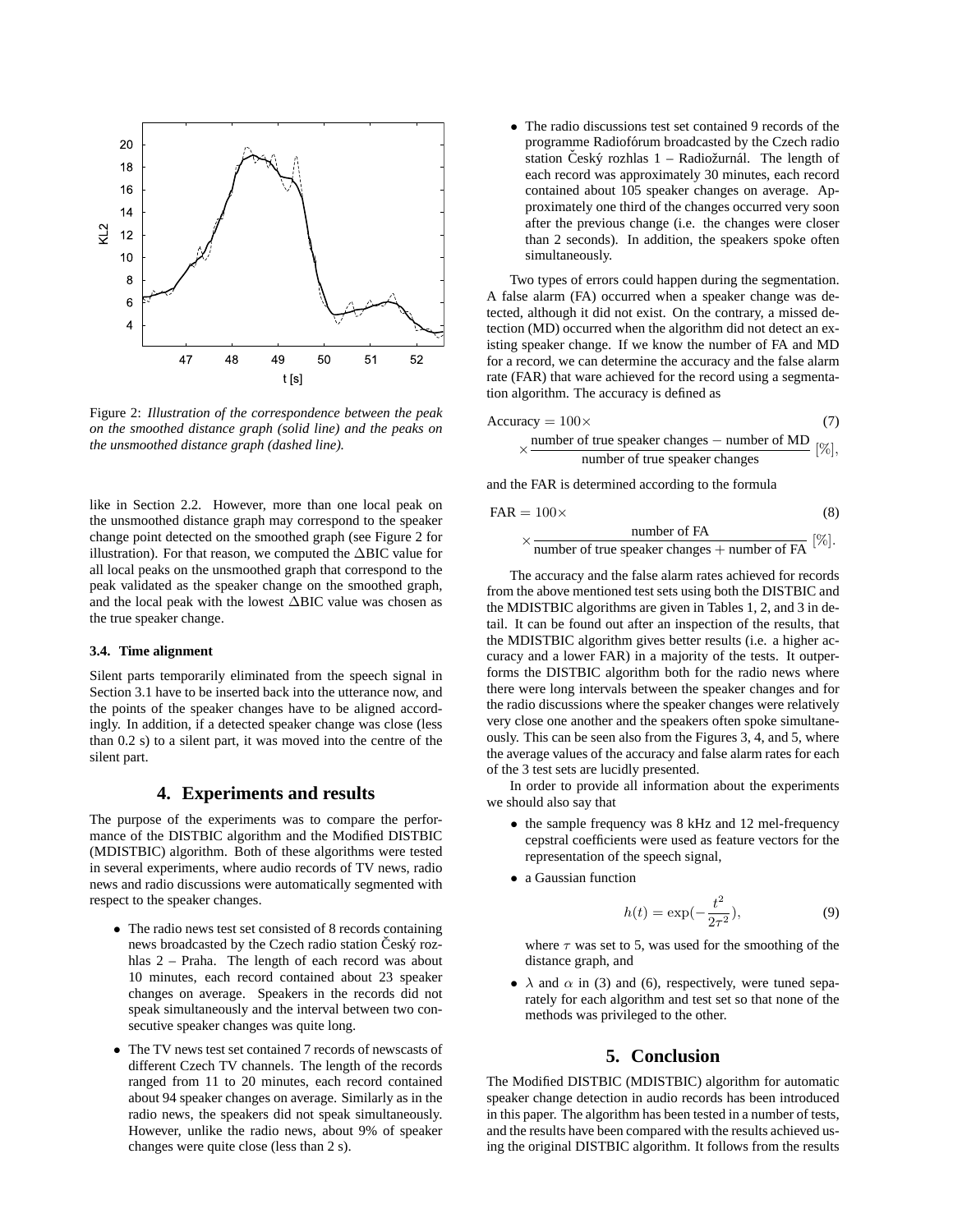

Figure 2: *Illustration of the correspondence between the peak on the smoothed distance graph (solid line) and the peaks on the unsmoothed distance graph (dashed line).*

like in Section 2.2. However, more than one local peak on the unsmoothed distance graph may correspond to the speaker change point detected on the smoothed graph (see Figure 2 for illustration). For that reason, we computed the ∆BIC value for all local peaks on the unsmoothed graph that correspond to the peak validated as the speaker change on the smoothed graph, and the local peak with the lowest ∆BIC value was chosen as the true speaker change.

#### **3.4. Time alignment**

Silent parts temporarily eliminated from the speech signal in Section 3.1 have to be inserted back into the utterance now, and the points of the speaker changes have to be aligned accordingly. In addition, if a detected speaker change was close (less than 0.2 s) to a silent part, it was moved into the centre of the silent part.

## **4. Experiments and results**

The purpose of the experiments was to compare the performance of the DISTBIC algorithm and the Modified DISTBIC (MDISTBIC) algorithm. Both of these algorithms were tested in several experiments, where audio records of TV news, radio news and radio discussions were automatically segmented with respect to the speaker changes.

- The radio news test set consisted of 8 records containing news broadcasted by the Czech radio station Český rozhlas 2 – Praha. The length of each record was about 10 minutes, each record contained about 23 speaker changes on average. Speakers in the records did not speak simultaneously and the interval between two consecutive speaker changes was quite long.
- The TV news test set contained 7 records of newscasts of different Czech TV channels. The length of the records ranged from 11 to 20 minutes, each record contained about 94 speaker changes on average. Similarly as in the radio news, the speakers did not speak simultaneously. However, unlike the radio news, about 9% of speaker changes were quite close (less than 2 s).

• The radio discussions test set contained 9 records of the programme Radiofórum broadcasted by the Czech radio station Český rozhlas  $1 - \text{Radiožurnál}$ . The length of each record was approximately 30 minutes, each record contained about 105 speaker changes on average. Approximately one third of the changes occurred very soon after the previous change (i.e. the changes were closer than 2 seconds). In addition, the speakers spoke often simultaneously.

Two types of errors could happen during the segmentation. A false alarm (FA) occurred when a speaker change was detected, although it did not exist. On the contrary, a missed detection (MD) occurred when the algorithm did not detect an existing speaker change. If we know the number of FA and MD for a record, we can determine the accuracy and the false alarm rate (FAR) that ware achieved for the record using a segmentation algorithm. The accuracy is defined as

$$
\text{Accuracy} = 100 \times \text{(7)}
$$
\n
$$
\times \frac{\text{number of true speaker changes} - \text{number of MD}}{\text{number of true speaker changes}} \text{ [%],}
$$

and the FAR is determined according to the formula

$$
FAR = 100 \times
$$
 (8)  
 
$$
\times
$$
 number of FA [%].

$$
\langle \frac{\text{number of FA}}{\text{number of true speaker changes} + \text{number of FA}} \, [\%].
$$

The accuracy and the false alarm rates achieved for records from the above mentioned test sets using both the DISTBIC and the MDISTBIC algorithms are given in Tables 1, 2, and 3 in detail. It can be found out after an inspection of the results, that the MDISTBIC algorithm gives better results (i.e. a higher accuracy and a lower FAR) in a majority of the tests. It outperforms the DISTBIC algorithm both for the radio news where there were long intervals between the speaker changes and for the radio discussions where the speaker changes were relatively very close one another and the speakers often spoke simultaneously. This can be seen also from the Figures 3, 4, and 5, where the average values of the accuracy and false alarm rates for each of the 3 test sets are lucidly presented.

In order to provide all information about the experiments we should also say that

- the sample frequency was 8 kHz and 12 mel-frequency cepstral coefficients were used as feature vectors for the representation of the speech signal,
- a Gaussian function

$$
h(t) = \exp(-\frac{t^2}{2\tau^2}),
$$
\n(9)

where  $\tau$  was set to 5, was used for the smoothing of the distance graph, and

•  $\lambda$  and  $\alpha$  in (3) and (6), respectively, were tuned separately for each algorithm and test set so that none of the methods was privileged to the other.

#### **5. Conclusion**

The Modified DISTBIC (MDISTBIC) algorithm for automatic speaker change detection in audio records has been introduced in this paper. The algorithm has been tested in a number of tests, and the results have been compared with the results achieved using the original DISTBIC algorithm. It follows from the results